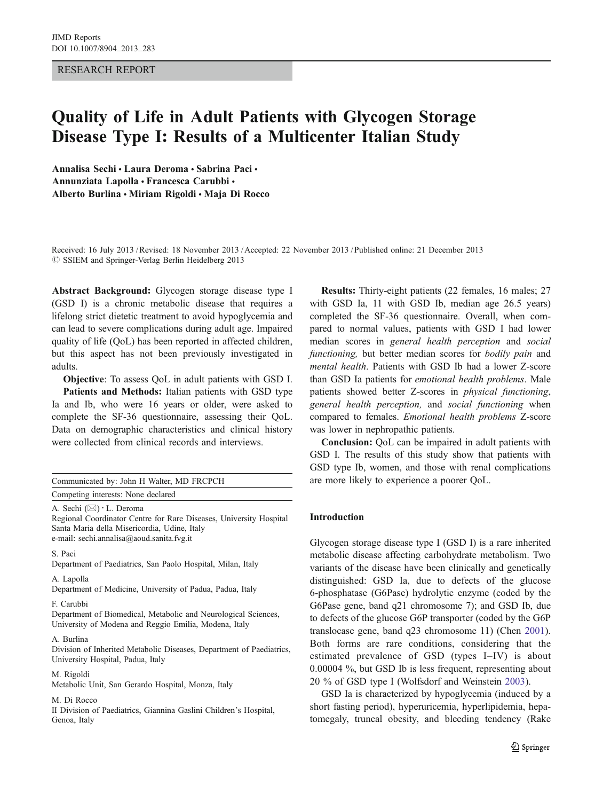# RESEARCH REPORT

# Quality of Life in Adult Patients with Glycogen Storage Disease Type I: Results of a Multicenter Italian Study

Annalisa Sechi • Laura Deroma • Sabrina Paci • Annunziata Lapolla • Francesca Carubbi • Alberto Burlina • Miriam Rigoldi • Maja Di Rocco

Received: 16 July 2013 /Revised: 18 November 2013 /Accepted: 22 November 2013 / Published online: 21 December 2013  $\oslash$  SSIEM and Springer-Verlag Berlin Heidelberg 2013

Abstract Background: Glycogen storage disease type I (GSD I) is a chronic metabolic disease that requires a lifelong strict dietetic treatment to avoid hypoglycemia and can lead to severe complications during adult age. Impaired quality of life (QoL) has been reported in affected children, but this aspect has not been previously investigated in adults.

Objective: To assess QoL in adult patients with GSD I. Patients and Methods: Italian patients with GSD type Ia and Ib, who were 16 years or older, were asked to complete the SF-36 questionnaire, assessing their QoL. Data on demographic characteristics and clinical history were collected from clinical records and interviews.

| Communicated by: John H Walter, MD FRCPCH |
|-------------------------------------------|
| Competing interests: None declared        |

A. Sechi  $(\boxtimes) \cdot$  L. Deroma

Regional Coordinator Centre for Rare Diseases, University Hospital Santa Maria della Misericordia, Udine, Italy e-mail: sechi.annalisa@aoud.sanita.fvg.it

#### S. Paci

Department of Paediatrics, San Paolo Hospital, Milan, Italy

## A. Lapolla

Department of Medicine, University of Padua, Padua, Italy

## F. Carubbi

Department of Biomedical, Metabolic and Neurological Sciences, University of Modena and Reggio Emilia, Modena, Italy

#### A. Burlina

Division of Inherited Metabolic Diseases, Department of Paediatrics, University Hospital, Padua, Italy

## M. Rigoldi

Metabolic Unit, San Gerardo Hospital, Monza, Italy

#### M. Di Rocco

II Division of Paediatrics, Giannina Gaslini Children's Hospital, Genoa, Italy

Results: Thirty-eight patients (22 females, 16 males; 27 with GSD Ia, 11 with GSD Ib, median age 26.5 years) completed the SF-36 questionnaire. Overall, when compared to normal values, patients with GSD I had lower median scores in general health perception and social functioning, but better median scores for bodily pain and mental health. Patients with GSD Ib had a lower Z-score than GSD Ia patients for emotional health problems. Male patients showed better Z-scores in physical functioning, general health perception, and social functioning when compared to females. Emotional health problems Z-score was lower in nephropathic patients.

Conclusion: QoL can be impaired in adult patients with GSD I. The results of this study show that patients with GSD type Ib, women, and those with renal complications are more likely to experience a poorer QoL.

# Introduction

Glycogen storage disease type I (GSD I) is a rare inherited metabolic disease affecting carbohydrate metabolism. Two variants of the disease have been clinically and genetically distinguished: GSD Ia, due to defects of the glucose 6-phosphatase (G6Pase) hydrolytic enzyme (coded by the G6Pase gene, band q21 chromosome 7); and GSD Ib, due to defects of the glucose G6P transporter (coded by the G6P translocase gene, band q23 chromosome 11) (Chen [2001\)](#page-6-0). Both forms are rare conditions, considering that the estimated prevalence of GSD (types I–IV) is about 0.00004 %, but GSD Ib is less frequent, representing about 20 % of GSD type I (Wolfsdorf and Weinstein [2003\)](#page-6-0).

GSD Ia is characterized by hypoglycemia (induced by a short fasting period), hyperuricemia, hyperlipidemia, hepatomegaly, truncal obesity, and bleeding tendency (Rake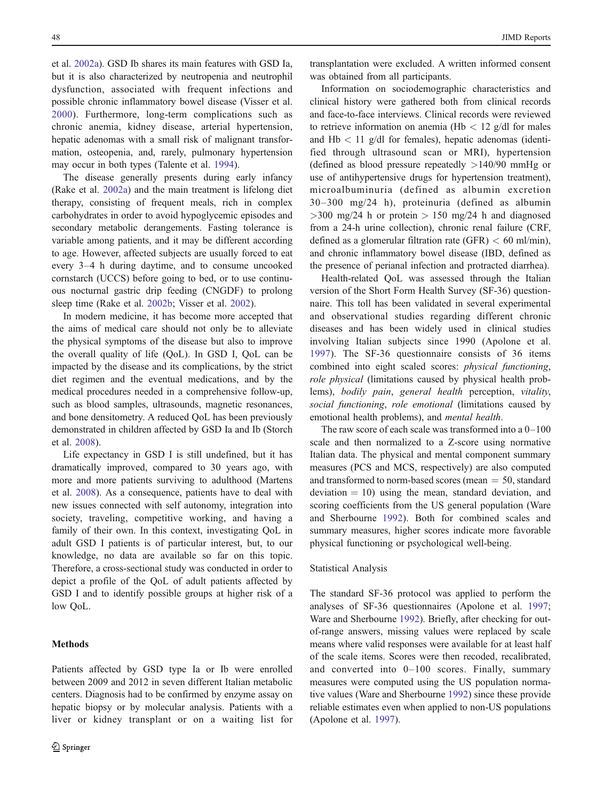et al. [2002a\)](#page-6-0). GSD Ib shares its main features with GSD Ia, but it is also characterized by neutropenia and neutrophil dysfunction, associated with frequent infections and possible chronic inflammatory bowel disease (Visser et al. [2000\)](#page-6-0). Furthermore, long-term complications such as chronic anemia, kidney disease, arterial hypertension, hepatic adenomas with a small risk of malignant transformation, osteopenia, and, rarely, pulmonary hypertension may occur in both types (Talente et al. [1994](#page-6-0)).

The disease generally presents during early infancy (Rake et al. [2002a](#page-6-0)) and the main treatment is lifelong diet therapy, consisting of frequent meals, rich in complex carbohydrates in order to avoid hypoglycemic episodes and secondary metabolic derangements. Fasting tolerance is variable among patients, and it may be different according to age. However, affected subjects are usually forced to eat every 3–4 h during daytime, and to consume uncooked cornstarch (UCCS) before going to bed, or to use continuous nocturnal gastric drip feeding (CNGDF) to prolong sleep time (Rake et al. [2002b](#page-6-0); Visser et al. [2002\)](#page-6-0).

In modern medicine, it has become more accepted that the aims of medical care should not only be to alleviate the physical symptoms of the disease but also to improve the overall quality of life (QoL). In GSD I, QoL can be impacted by the disease and its complications, by the strict diet regimen and the eventual medications, and by the medical procedures needed in a comprehensive follow-up, such as blood samples, ultrasounds, magnetic resonances, and bone densitometry. A reduced QoL has been previously demonstrated in children affected by GSD Ia and Ib (Storch et al. [2008](#page-6-0)).

Life expectancy in GSD I is still undefined, but it has dramatically improved, compared to 30 years ago, with more and more patients surviving to adulthood (Martens et al. [2008\)](#page-6-0). As a consequence, patients have to deal with new issues connected with self autonomy, integration into society, traveling, competitive working, and having a family of their own. In this context, investigating QoL in adult GSD I patients is of particular interest, but, to our knowledge, no data are available so far on this topic. Therefore, a cross-sectional study was conducted in order to depict a profile of the QoL of adult patients affected by GSD I and to identify possible groups at higher risk of a low QoL.

# Methods

Patients affected by GSD type Ia or Ib were enrolled between 2009 and 2012 in seven different Italian metabolic centers. Diagnosis had to be confirmed by enzyme assay on hepatic biopsy or by molecular analysis. Patients with a liver or kidney transplant or on a waiting list for

transplantation were excluded. A written informed consent was obtained from all participants.

Information on sociodemographic characteristics and clinical history were gathered both from clinical records and face-to-face interviews. Clinical records were reviewed to retrieve information on anemia (Hb  $< 12$  g/dl for males and  $Hb < 11$  g/dl for females), hepatic adenomas (identified through ultrasound scan or MRI), hypertension (defined as blood pressure repeatedly >140/90 mmHg or use of antihypertensive drugs for hypertension treatment), microalbuminuria (defined as albumin excretion 30–300 mg/24 h), proteinuria (defined as albumin  $>300$  mg/24 h or protein  $> 150$  mg/24 h and diagnosed from a 24-h urine collection), chronic renal failure (CRF, defined as a glomerular filtration rate (GFR)  $<$  60 ml/min), and chronic inflammatory bowel disease (IBD, defined as the presence of perianal infection and protracted diarrhea).

Health-related QoL was assessed through the Italian version of the Short Form Health Survey (SF-36) questionnaire. This toll has been validated in several experimental and observational studies regarding different chronic diseases and has been widely used in clinical studies involving Italian subjects since 1990 (Apolone et al. [1997](#page-6-0)). The SF-36 questionnaire consists of 36 items combined into eight scaled scores: physical functioning, role physical (limitations caused by physical health problems), bodily pain, general health perception, vitality, social functioning, role emotional (limitations caused by emotional health problems), and mental health.

The raw score of each scale was transformed into a 0–100 scale and then normalized to a Z-score using normative Italian data. The physical and mental component summary measures (PCS and MCS, respectively) are also computed and transformed to norm-based scores (mean  $= 50$ , standard deviation  $= 10$ ) using the mean, standard deviation, and scoring coefficients from the US general population (Ware and Sherbourne [1992\)](#page-6-0). Both for combined scales and summary measures, higher scores indicate more favorable physical functioning or psychological well-being.

## Statistical Analysis

The standard SF-36 protocol was applied to perform the analyses of SF-36 questionnaires (Apolone et al. [1997;](#page-6-0) Ware and Sherbourne [1992\)](#page-6-0). Briefly, after checking for outof-range answers, missing values were replaced by scale means where valid responses were available for at least half of the scale items. Scores were then recoded, recalibrated, and converted into 0–100 scores. Finally, summary measures were computed using the US population normative values (Ware and Sherbourne [1992\)](#page-6-0) since these provide reliable estimates even when applied to non-US populations (Apolone et al. [1997](#page-6-0)).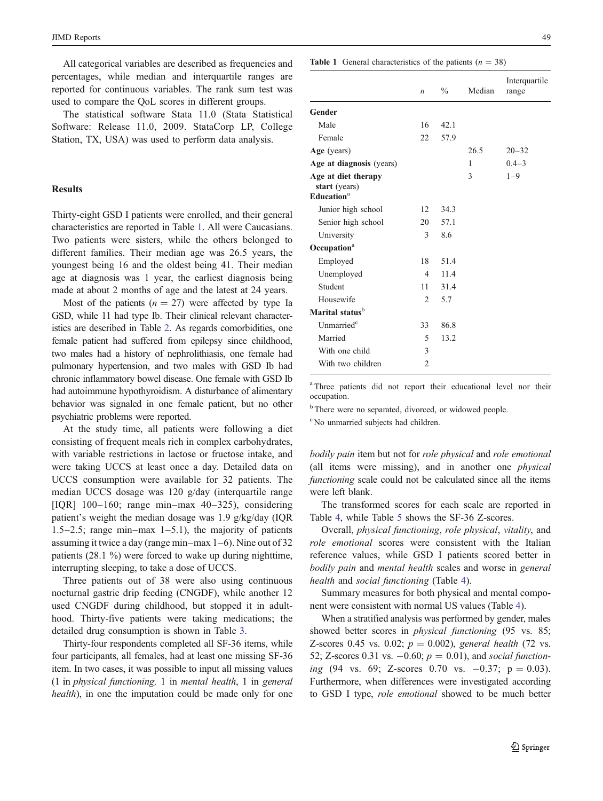All categorical variables are described as frequencies and percentages, while median and interquartile ranges are reported for continuous variables. The rank sum test was used to compare the QoL scores in different groups.

The statistical software Stata 11.0 (Stata Statistical Software: Release 11.0, 2009. StataCorp LP, College Station, TX, USA) was used to perform data analysis.

# **Results**

Thirty-eight GSD I patients were enrolled, and their general characteristics are reported in Table 1. All were Caucasians. Two patients were sisters, while the others belonged to different families. Their median age was 26.5 years, the youngest being 16 and the oldest being 41. Their median age at diagnosis was 1 year, the earliest diagnosis being made at about 2 months of age and the latest at 24 years.

Most of the patients  $(n = 27)$  were affected by type Ia GSD, while 11 had type Ib. Their clinical relevant characteristics are described in Table [2](#page-3-0). As regards comorbidities, one female patient had suffered from epilepsy since childhood, two males had a history of nephrolithiasis, one female had pulmonary hypertension, and two males with GSD Ib had chronic inflammatory bowel disease. One female with GSD Ib had autoimmune hypothyroidism. A disturbance of alimentary behavior was signaled in one female patient, but no other psychiatric problems were reported.

At the study time, all patients were following a diet consisting of frequent meals rich in complex carbohydrates, with variable restrictions in lactose or fructose intake, and were taking UCCS at least once a day. Detailed data on UCCS consumption were available for 32 patients. The median UCCS dosage was 120 g/day (interquartile range [IQR] 100–160; range min–max 40–325), considering patient's weight the median dosage was 1.9 g/kg/day (IQR 1.5–2.5; range min–max  $1-5.1$ ), the majority of patients assuming it twice a day (range min–max 1–6). Nine out of 32 patients (28.1 %) were forced to wake up during nighttime, interrupting sleeping, to take a dose of UCCS.

Three patients out of 38 were also using continuous nocturnal gastric drip feeding (CNGDF), while another 12 used CNGDF during childhood, but stopped it in adulthood. Thirty-five patients were taking medications; the detailed drug consumption is shown in Table [3.](#page-3-0)

Thirty-four respondents completed all SF-36 items, while four participants, all females, had at least one missing SF-36 item. In two cases, it was possible to input all missing values (1 in physical functioning, 1 in mental health, 1 in general health), in one the imputation could be made only for one **Table 1** General characteristics of the patients  $(n = 38)$ 

|                                                | $\boldsymbol{n}$ | $\frac{0}{0}$ | Median | Interquartile<br>range |
|------------------------------------------------|------------------|---------------|--------|------------------------|
| Gender                                         |                  |               |        |                        |
| Male                                           | 16               | 42.1          |        |                        |
| Female                                         | 22               | 57.9          |        |                        |
| Age (years)                                    |                  |               | 26.5   | $20 - 32$              |
| Age at diagnosis (years)                       |                  |               | 1      | $0.4 - 3$              |
| Age at diet therapy                            |                  |               | 3      | $1 - 9$                |
| start (years)<br><b>Education</b> <sup>a</sup> |                  |               |        |                        |
| Junior high school                             | 12               | 34.3          |        |                        |
| Senior high school                             | 20               | 57.1          |        |                        |
| University                                     | $\mathbf{3}$     | 8.6           |        |                        |
| Occupation <sup>a</sup>                        |                  |               |        |                        |
| Employed                                       | 18               | 51.4          |        |                        |
| Unemployed                                     | $\overline{4}$   | 11.4          |        |                        |
| Student                                        | 11               | 31.4          |        |                        |
| Housewife                                      | $\overline{2}$   | 5.7           |        |                        |
| Marital status <sup>b</sup>                    |                  |               |        |                        |
| Unmarried <sup>c</sup>                         | 33               | 86.8          |        |                        |
| Married                                        | 5                | 13.2          |        |                        |
| With one child                                 | 3                |               |        |                        |
| With two children                              | $\overline{2}$   |               |        |                        |

<sup>a</sup> Three patients did not report their educational level nor their occupation.

<sup>b</sup> There were no separated, divorced, or widowed people.

<sup>c</sup> No unmarried subjects had children.

bodily pain item but not for role physical and role emotional (all items were missing), and in another one physical functioning scale could not be calculated since all the items were left blank.

The transformed scores for each scale are reported in Table [4](#page-4-0), while Table [5](#page-5-0) shows the SF-36 Z-scores.

Overall, physical functioning, role physical, vitality, and role emotional scores were consistent with the Italian reference values, while GSD I patients scored better in bodily pain and mental health scales and worse in general health and social functioning (Table [4](#page-4-0)).

Summary measures for both physical and mental component were consistent with normal US values (Table [4](#page-4-0)).

When a stratified analysis was performed by gender, males showed better scores in physical functioning (95 vs. 85; Z-scores 0.45 vs. 0.02;  $p = 0.002$ ), general health (72 vs. 52; Z-scores 0.31 vs.  $-0.60; p = 0.01$ ), and social functioning (94 vs. 69; Z-scores 0.70 vs.  $-0.37$ ;  $p = 0.03$ ). Furthermore, when differences were investigated according to GSD I type, role emotional showed to be much better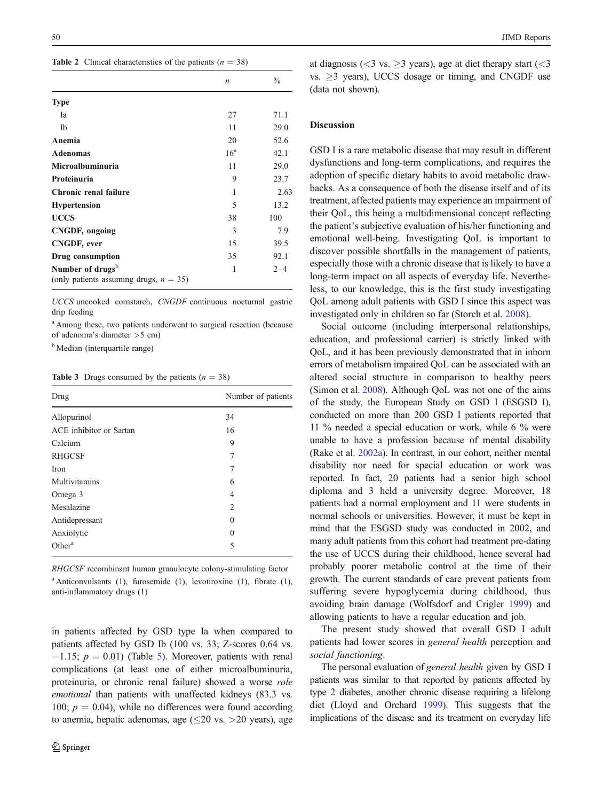<span id="page-3-0"></span>

| <b>Table 2</b> Clinical characteristics of the patients $(n = 38)$ |  |
|--------------------------------------------------------------------|--|
|--------------------------------------------------------------------|--|

|                                                                           | $\boldsymbol{n}$ | $\frac{0}{0}$ |
|---------------------------------------------------------------------------|------------------|---------------|
| <b>Type</b>                                                               |                  |               |
| Ia                                                                        | 27               | 71.1          |
| Ib                                                                        | 11               | 29.0          |
| Anemia                                                                    | 20               | 52.6          |
| <b>Adenomas</b>                                                           | 16 <sup>a</sup>  | 42.1          |
| <b>Microalbuminuria</b>                                                   | 11               | 29.0          |
| Proteinuria                                                               | 9                | 23.7          |
| Chronic renal failure                                                     | 1                | 2.63          |
| <b>Hypertension</b>                                                       | 5                | 13.2          |
| <b>UCCS</b>                                                               | 38               | 100           |
| <b>CNGDF</b> , ongoing                                                    | 3                | 7.9           |
| CNGDF, ever                                                               | 15               | 39.5          |
| Drug consumption                                                          | 35               | 92.1          |
| Number of drugs <sup>b</sup><br>(only patients assuming drugs, $n = 35$ ) | 1                | $2 - 4$       |

UCCS uncooked cornstarch, CNGDF continuous nocturnal gastric drip feeding

<sup>a</sup> Among these, two patients underwent to surgical resection (because of adenoma's diameter >5 cm)

<sup>b</sup> Median (interquartile range)

**Table 3** Drugs consumed by the patients  $(n = 38)$ 

| Drug                    | Number of patients |  |  |
|-------------------------|--------------------|--|--|
| Allopurinol             | 34                 |  |  |
| ACE inhibitor or Sartan | 16                 |  |  |
| Calcium                 | 9                  |  |  |
| <b>RHGCSF</b>           | 7                  |  |  |
| Iron                    | 7                  |  |  |
| Multivitamins           | 6                  |  |  |
| Omega 3                 | 4                  |  |  |
| Mesalazine              | 2                  |  |  |
| Antidepressant          | $\theta$           |  |  |
| Anxiolytic              | $\theta$           |  |  |
| Other <sup>a</sup>      | 5                  |  |  |

RHGCSF recombinant human granulocyte colony-stimulating factor <sup>a</sup> Anticonvulsants (1), furosemide (1), levotiroxine (1), fibrate (1), anti-inflammatory drugs (1)

in patients affected by GSD type Ia when compared to patients affected by GSD Ib (100 vs. 33; Z-scores 0.64 vs.  $-1.15$ ;  $p = 0.01$ ) (Table [5\)](#page-5-0). Moreover, patients with renal complications (at least one of either microalbuminuria, proteinuria, or chronic renal failure) showed a worse role emotional than patients with unaffected kidneys (83.3 vs. 100;  $p = 0.04$ ), while no differences were found according to anemia, hepatic adenomas, age  $( $20 \text{ vs. } >20 \text{ years}$ ), age$  at diagnosis ( $\lt 3$  vs.  $\gt 3$  years), age at diet therapy start ( $\lt 3$ vs.  $\geq$ 3 years), UCCS dosage or timing, and CNGDF use (data not shown).

#### **Discussion**

GSD I is a rare metabolic disease that may result in different dysfunctions and long-term complications, and requires the adoption of specific dietary habits to avoid metabolic drawbacks. As a consequence of both the disease itself and of its treatment, affected patients may experience an impairment of their QoL, this being a multidimensional concept reflecting the patient's subjective evaluation of his/her functioning and emotional well-being. Investigating QoL is important to discover possible shortfalls in the management of patients, especially those with a chronic disease that is likely to have a long-term impact on all aspects of everyday life. Nevertheless, to our knowledge, this is the first study investigating QoL among adult patients with GSD I since this aspect was investigated only in children so far (Storch et al. [2008](#page-6-0)).

Social outcome (including interpersonal relationships, education, and professional carrier) is strictly linked with QoL, and it has been previously demonstrated that in inborn errors of metabolism impaired QoL can be associated with an altered social structure in comparison to healthy peers (Simon et al. [2008\)](#page-6-0). Although QoL was not one of the aims of the study, the European Study on GSD I (ESGSD I), conducted on more than 200 GSD I patients reported that 11 % needed a special education or work, while 6 % were unable to have a profession because of mental disability (Rake et al. [2002a\)](#page-6-0). In contrast, in our cohort, neither mental disability nor need for special education or work was reported. In fact, 20 patients had a senior high school diploma and 3 held a university degree. Moreover, 18 patients had a normal employment and 11 were students in normal schools or universities. However, it must be kept in mind that the ESGSD study was conducted in 2002, and many adult patients from this cohort had treatment pre-dating the use of UCCS during their childhood, hence several had probably poorer metabolic control at the time of their growth. The current standards of care prevent patients from suffering severe hypoglycemia during childhood, thus avoiding brain damage (Wolfsdorf and Crigler [1999](#page-6-0)) and allowing patients to have a regular education and job.

The present study showed that overall GSD I adult patients had lower scores in general health perception and social functioning.

The personal evaluation of general health given by GSD I patients was similar to that reported by patients affected by type 2 diabetes, another chronic disease requiring a lifelong diet (Lloyd and Orchard [1999](#page-6-0)). This suggests that the implications of the disease and its treatment on everyday life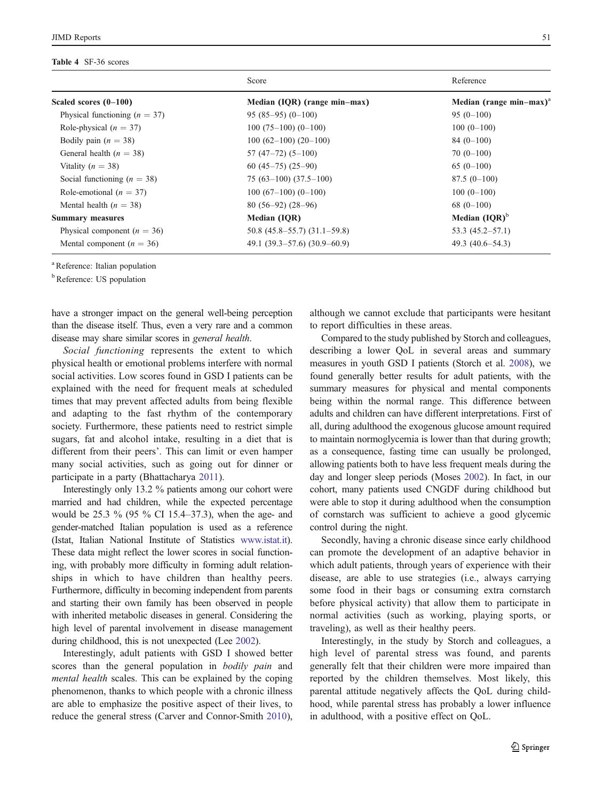#### <span id="page-4-0"></span>Table 4 SF-36 scores

|                                 | Score                          | Reference                           |  |
|---------------------------------|--------------------------------|-------------------------------------|--|
| Scaled scores $(0-100)$         | Median (IQR) (range min-max)   | Median (range min-max) <sup>a</sup> |  |
| Physical functioning $(n = 37)$ | $95(85-95)(0-100)$             | $95(0-100)$                         |  |
| Role-physical ( $n = 37$ )      | $100(75-100)(0-100)$           | $100(0-100)$                        |  |
| Bodily pain $(n = 38)$          | $100(62-100)(20-100)$          | $84(0-100)$                         |  |
| General health $(n = 38)$       | 57 $(47-72)$ $(5-100)$         | $70(0-100)$                         |  |
| Vitality ( $n = 38$ )           | $60(45-75)(25-90)$             | $65(0-100)$                         |  |
| Social functioning $(n = 38)$   | $75(63-100)(37.5-100)$         | $87.5(0-100)$                       |  |
| Role-emotional ( $n = 37$ )     | $100(67-100)(0-100)$           | $100(0-100)$                        |  |
| Mental health $(n = 38)$        | $80(56-92)(28-96)$             | $68(0-100)$                         |  |
| <b>Summary measures</b>         | Median (IQR)                   | Median $(IQR)^b$                    |  |
| Physical component ( $n = 36$ ) | $50.8$ (45.8–55.7) (31.1–59.8) | $53.3(45.2 - 57.1)$                 |  |
| Mental component ( $n = 36$ )   | $49.1(39.3-57.6)(30.9-60.9)$   | 49.3 $(40.6-54.3)$                  |  |
|                                 |                                |                                     |  |

a Reference: Italian population

<sup>b</sup>Reference: US population

have a stronger impact on the general well-being perception than the disease itself. Thus, even a very rare and a common disease may share similar scores in general health.

Social functioning represents the extent to which physical health or emotional problems interfere with normal social activities. Low scores found in GSD I patients can be explained with the need for frequent meals at scheduled times that may prevent affected adults from being flexible and adapting to the fast rhythm of the contemporary society. Furthermore, these patients need to restrict simple sugars, fat and alcohol intake, resulting in a diet that is different from their peers'. This can limit or even hamper many social activities, such as going out for dinner or participate in a party (Bhattacharya [2011](#page-6-0)).

Interestingly only 13.2 % patients among our cohort were married and had children, while the expected percentage would be 25.3 % (95 % CI 15.4–37.3), when the age- and gender-matched Italian population is used as a reference (Istat, Italian National Institute of Statistics www.istat.it). These data might reflect the lower scores in social functioning, with probably more difficulty in forming adult relationships in which to have children than healthy peers. Furthermore, difficulty in becoming independent from parents and starting their own family has been observed in people with inherited metabolic diseases in general. Considering the high level of parental involvement in disease management during childhood, this is not unexpected (Lee [2002](#page-6-0)).

Interestingly, adult patients with GSD I showed better scores than the general population in *bodily pain* and mental health scales. This can be explained by the coping phenomenon, thanks to which people with a chronic illness are able to emphasize the positive aspect of their lives, to reduce the general stress (Carver and Connor-Smith [2010](#page-6-0)),

although we cannot exclude that participants were hesitant to report difficulties in these areas.

Compared to the study published by Storch and colleagues, describing a lower QoL in several areas and summary measures in youth GSD I patients (Storch et al. [2008\)](#page-6-0), we found generally better results for adult patients, with the summary measures for physical and mental components being within the normal range. This difference between adults and children can have different interpretations. First of all, during adulthood the exogenous glucose amount required to maintain normoglycemia is lower than that during growth; as a consequence, fasting time can usually be prolonged, allowing patients both to have less frequent meals during the day and longer sleep periods (Moses [2002](#page-6-0)). In fact, in our cohort, many patients used CNGDF during childhood but were able to stop it during adulthood when the consumption of cornstarch was sufficient to achieve a good glycemic control during the night.

Secondly, having a chronic disease since early childhood can promote the development of an adaptive behavior in which adult patients, through years of experience with their disease, are able to use strategies (i.e., always carrying some food in their bags or consuming extra cornstarch before physical activity) that allow them to participate in normal activities (such as working, playing sports, or traveling), as well as their healthy peers.

Interestingly, in the study by Storch and colleagues, a high level of parental stress was found, and parents generally felt that their children were more impaired than reported by the children themselves. Most likely, this parental attitude negatively affects the QoL during childhood, while parental stress has probably a lower influence in adulthood, with a positive effect on QoL.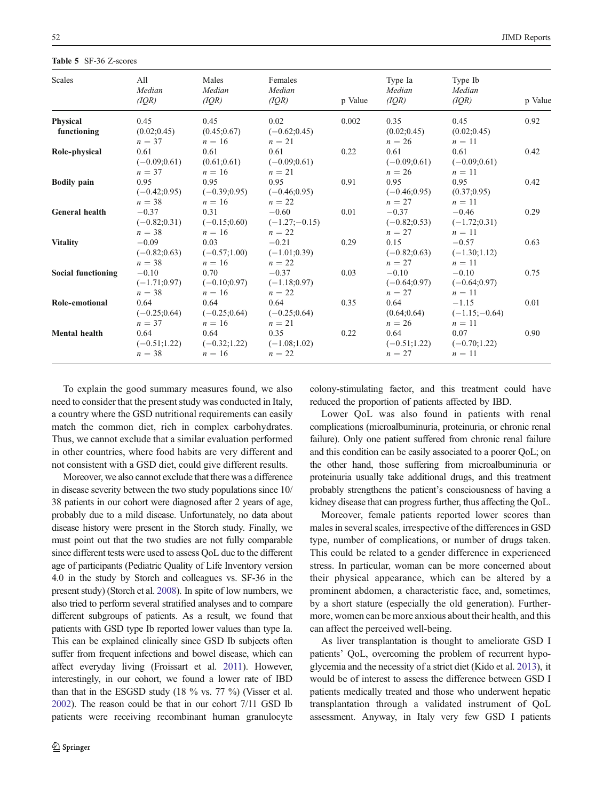<span id="page-5-0"></span>Table 5 SF-36 Z-scores

| <b>Scales</b>                  | A11<br>Median<br>(IQR)                | Males<br>Median<br>(IQR)                        | Females<br>Median<br>(IQR)           | p Value | Type Ia<br>Median<br>(IQR)           | Type Ib<br>Median<br>(QR)            | p Value |
|--------------------------------|---------------------------------------|-------------------------------------------------|--------------------------------------|---------|--------------------------------------|--------------------------------------|---------|
| <b>Physical</b><br>functioning | 0.45<br>(0.02; 0.45)<br>$n = 37$      | 0.45<br>(0.45; 0.67)<br>$n = 16$                | 0.02<br>$(-0.62; 0.45)$<br>$n=21$    | 0.002   | 0.35<br>(0.02; 0.45)<br>$n = 26$     | 0.45<br>(0.02; 0.45)<br>$n=11$       | 0.92    |
| Role-physical                  | 0.61<br>$(-0.09;0.61)$<br>$n = 37$    | 0.61<br>(0.61; 0.61)<br>$n=16$                  | 0.61<br>$(-0.09;0.61)$<br>$n=21$     | 0.22    | 0.61<br>$(-0.09;0.61)$<br>$n=26$     | 0.61<br>$(-0.09;0.61)$<br>$n=11$     | 0.42    |
| <b>Bodily pain</b>             | 0.95<br>$(-0.42;0.95)$<br>$n = 38$    | 0.95<br>$(-0.39;0.95)$<br>$n=16$                | 0.95<br>$(-0.46;0.95)$<br>$n=22$     | 0.91    | 0.95<br>$(-0.46;0.95)$<br>$n=27$     | 0.95<br>(0.37; 0.95)<br>$n=11$       | 0.42    |
| <b>General health</b>          | $-0.37$<br>$(-0.82; 0.31)$<br>$n=38$  | 0.31<br>$(-0.15;0.60)$<br>$n=16$                | $-0.60$<br>$(-1.27,-0.15)$<br>$n=22$ | 0.01    | $-0.37$<br>$(-0.82; 0.53)$<br>$n=27$ | $-0.46$<br>$(-1.72; 0.31)$<br>$n=11$ | 0.29    |
| <b>Vitality</b>                | $-0.09$<br>$(-0.82;0.63)$<br>$n=38$   | 0.03<br>$(-0.57;1.00)$<br>$n=16$                | $-0.21$<br>$(-1.01; 0.39)$<br>$n=22$ | 0.29    | 0.15<br>$(-0.82;0.63)$<br>$n=27$     | $-0.57$<br>$(-1.30;1.12)$<br>$n=11$  | 0.63    |
| <b>Social functioning</b>      | $-0.10$<br>$(-1.71;0.97)$<br>$n = 38$ | 0.70<br>$(-0.10;0.97)$<br>$n=16$                | $-0.37$<br>$(-1.18;0.97)$<br>$n=22$  | 0.03    | $-0.10$<br>$(-0.64(0.97))$<br>$n=27$ | $-0.10$<br>$(-0.64;0.97)$<br>$n=11$  | 0.75    |
| Role-emotional                 | 0.64<br>$(-0.25;0.64)$<br>$n = 37$    | 0.64<br>$(-0.25;0.64)$<br>$n = 16$              | 0.64<br>$(-0.25; 0.64)$<br>$n=21$    | 0.35    | 0.64<br>(0.64; 0.64)<br>$n=26$       | $-1.15$<br>$(-1.15,-0.64)$<br>$n=11$ | 0.01    |
| <b>Mental health</b>           | 0.64<br>$n = 38$                      | 0.64<br>$(-0.51;1.22)$ $(-0.32;1.22)$<br>$n=16$ | 0.35<br>$(-1.08;1.02)$<br>$n=22$     | 0.22    | 0.64<br>$(-0.51;1.22)$<br>$n=27$     | 0.07<br>$(-0.70;1.22)$<br>$n=11$     | 0.90    |

To explain the good summary measures found, we also need to consider that the present study was conducted in Italy, a country where the GSD nutritional requirements can easily match the common diet, rich in complex carbohydrates. Thus, we cannot exclude that a similar evaluation performed in other countries, where food habits are very different and not consistent with a GSD diet, could give different results.

Moreover, we also cannot exclude that there was a difference in disease severity between the two study populations since 10/ 38 patients in our cohort were diagnosed after 2 years of age, probably due to a mild disease. Unfortunately, no data about disease history were present in the Storch study. Finally, we must point out that the two studies are not fully comparable since different tests were used to assess QoL due to the different age of participants (Pediatric Quality of Life Inventory version 4.0 in the study by Storch and colleagues vs. SF-36 in the present study) (Storch et al. [2008](#page-6-0)). In spite of low numbers, we also tried to perform several stratified analyses and to compare different subgroups of patients. As a result, we found that patients with GSD type Ib reported lower values than type Ia. This can be explained clinically since GSD Ib subjects often suffer from frequent infections and bowel disease, which can affect everyday living (Froissart et al. [2011\)](#page-6-0). However, interestingly, in our cohort, we found a lower rate of IBD than that in the ESGSD study  $(18\% \text{ vs. } 77\%)$  (Visser et al. [2002](#page-6-0)). The reason could be that in our cohort 7/11 GSD Ib patients were receiving recombinant human granulocyte colony-stimulating factor, and this treatment could have reduced the proportion of patients affected by IBD.

Lower QoL was also found in patients with renal complications (microalbuminuria, proteinuria, or chronic renal failure). Only one patient suffered from chronic renal failure and this condition can be easily associated to a poorer QoL; on the other hand, those suffering from microalbuminuria or proteinuria usually take additional drugs, and this treatment probably strengthens the patient's consciousness of having a kidney disease that can progress further, thus affecting the QoL.

Moreover, female patients reported lower scores than males in several scales, irrespective of the differences in GSD type, number of complications, or number of drugs taken. This could be related to a gender difference in experienced stress. In particular, woman can be more concerned about their physical appearance, which can be altered by a prominent abdomen, a characteristic face, and, sometimes, by a short stature (especially the old generation). Furthermore, women can be more anxious about their health, and this can affect the perceived well-being.

As liver transplantation is thought to ameliorate GSD I patients' QoL, overcoming the problem of recurrent hypoglycemia and the necessity of a strict diet (Kido et al. [2013](#page-6-0)), it would be of interest to assess the difference between GSD I patients medically treated and those who underwent hepatic transplantation through a validated instrument of QoL assessment. Anyway, in Italy very few GSD I patients